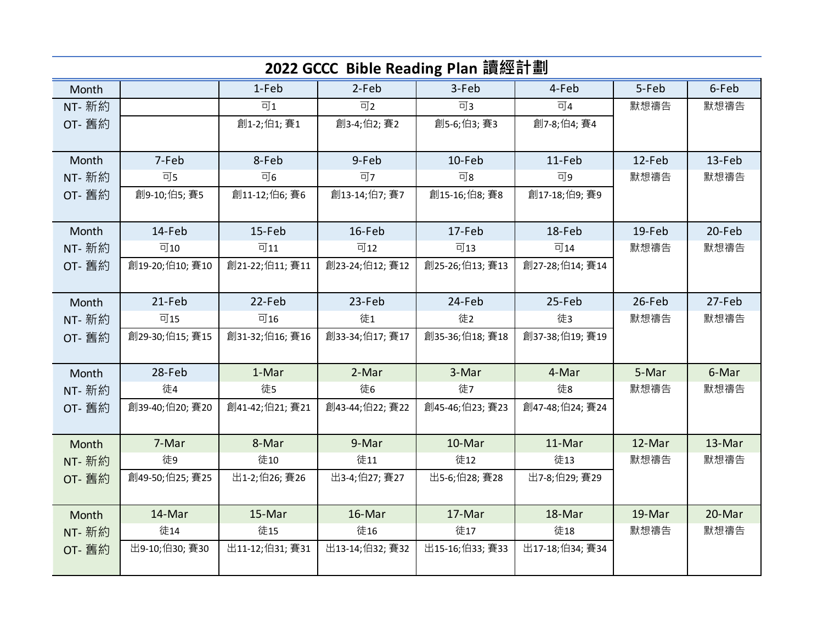|               | 2022 GCCC Bible Reading Plan 讀經計劃 |                    |                 |                 |                      |        |        |  |  |  |
|---------------|-----------------------------------|--------------------|-----------------|-----------------|----------------------|--------|--------|--|--|--|
| Month         |                                   | 1-Feb              | 2-Feb           | 3-Feb           | 4-Feb                | 5-Feb  | 6-Feb  |  |  |  |
| NT- 新約        |                                   | $\overline{\Box}1$ | 可2              | 可3              | $\overline{\Box}4$   | 默想禱告   | 默想禱告   |  |  |  |
| OT- 舊約        |                                   | 創1-2;伯1;賽1         | 創3-4;伯2;賽2      | 創5-6;伯3;賽3      | 創7-8;伯4;賽4           |        |        |  |  |  |
|               |                                   |                    |                 |                 |                      |        |        |  |  |  |
| Month         | 7-Feb                             | 8-Feb              | 9-Feb           | 10-Feb          | 11-Feb               | 12-Feb | 13-Feb |  |  |  |
| NT- 新約        | 可5                                | 可6                 | 可7              | 可8              | 可9                   | 默想禱告   | 默想禱告   |  |  |  |
| OT- 舊約        | 創9-10;伯5;賽5                       | 創11-12;伯6;賽6       | 創13-14;伯7;賽7    | 創15-16;伯8;賽8    | 創17-18;伯9;賽9         |        |        |  |  |  |
|               |                                   |                    |                 |                 |                      |        |        |  |  |  |
| Month         | 14-Feb                            | 15-Feb             | 16-Feb          | 17-Feb          | 18-Feb               | 19-Feb | 20-Feb |  |  |  |
| NT- 新約        | 可10                               | 可11                | 可12             | 可13             | $\overline{\Box}$ 14 | 默想禱告   | 默想禱告   |  |  |  |
| OT- 舊約        | 創19-20;伯10; 賽10                   | 創21-22;伯11; 賽11    | 創23-24;伯12; 賽12 | 創25-26;伯13; 賽13 | 創27-28;伯14; 賽14      |        |        |  |  |  |
|               |                                   |                    |                 |                 |                      |        |        |  |  |  |
| Month         | 21-Feb                            | 22-Feb             | 23-Feb          | 24-Feb          | 25-Feb               | 26-Feb | 27-Feb |  |  |  |
| NT- 新約        | 可15                               | 可16                | 徒1              | 徒2              | 徒3                   | 默想禱告   | 默想禱告   |  |  |  |
| OT- 舊約        | 創29-30;伯15; 賽15                   | 創31-32;伯16; 賽16    | 創33-34;伯17; 賽17 | 創35-36;伯18; 賽18 | 創37-38;伯19; 賽19      |        |        |  |  |  |
|               |                                   |                    |                 |                 |                      |        |        |  |  |  |
| Month         | 28-Feb                            | 1-Mar              | 2-Mar           | 3-Mar           | 4-Mar                | 5-Mar  | 6-Mar  |  |  |  |
| NT- 新約        | 徒4                                | 徒5                 | 徒6              | 徒7              | 徒8                   | 默想禱告   | 默想禱告   |  |  |  |
| OT- 舊約        | 創39-40;伯20;賽20                    | 創41-42;伯21; 賽21    | 創43-44;伯22; 賽22 | 創45-46;伯23; 賽23 | 創47-48;伯24; 賽24      |        |        |  |  |  |
|               |                                   |                    |                 |                 |                      |        |        |  |  |  |
| Month         | 7-Mar                             | 8-Mar              | 9-Mar           | 10-Mar          | 11-Mar               | 12-Mar | 13-Mar |  |  |  |
| <b>NT-</b> 新約 | 徒9                                | 徒10                | 徒11             | 徒12             | 徒13                  | 默想禱告   | 默想禱告   |  |  |  |
| OT- 舊約        | 創49-50;伯25; 賽25                   | 出1-2;伯26; 賽26      | 出3-4;伯27; 賽27   | 出5-6;伯28; 賽28   | 出7-8;伯29; 賽29        |        |        |  |  |  |
|               |                                   |                    |                 |                 |                      |        |        |  |  |  |
| Month         | 14-Mar                            | 15-Mar             | 16-Mar          | 17-Mar          | 18-Mar               | 19-Mar | 20-Mar |  |  |  |
| NT- 新約        | 徒14                               | 徒15                | 徒16             | 徒17             | 徒18                  | 默想禱告   | 默想禱告   |  |  |  |
| OT- 舊約        | 出9-10;伯30; 賽30                    | 出11-12;伯31; 賽31    | 出13-14;伯32; 賽32 | 出15-16;伯33; 賽33 | 出17-18;伯34; 賽34      |        |        |  |  |  |
|               |                                   |                    |                 |                 |                      |        |        |  |  |  |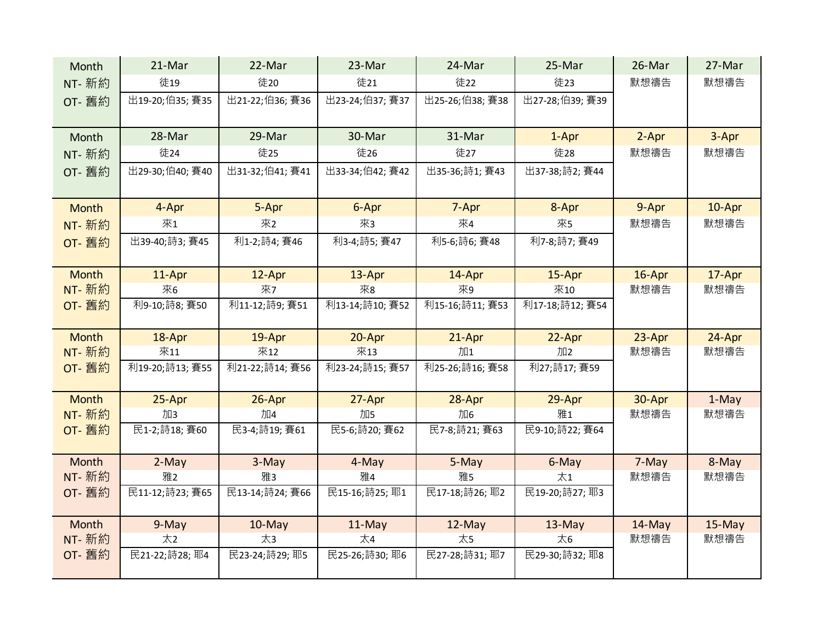| Month        | 21-Mar          | 22-Mar          | 23-Mar          | 24-Mar          | 25-Mar          | 26-Mar    | 27-Mar |
|--------------|-----------------|-----------------|-----------------|-----------------|-----------------|-----------|--------|
| NT- 新約       | 徒19             | 徒20             | 徒21             | 徒22             | 徒23             | 默想禱告      | 默想禱告   |
| OT- 舊約       | 出19-20;伯35; 賽35 | 出21-22;伯36; 賽36 | 出23-24;伯37; 賽37 | 出25-26;伯38; 賽38 | 出27-28;伯39; 賽39 |           |        |
| Month        | 28-Mar          | 29-Mar          | 30-Mar          | 31-Mar          | 1-Apr           | 2-Apr     | 3-Apr  |
| NT- 新約       | 徒24             | 徒25             | 徒26             | 徒27             | 徒28             | 默想禱告      | 默想禱告   |
| OT- 舊約       | 出29-30;伯40; 賽40 | 出31-32;伯41; 賽41 | 出33-34;伯42; 賽42 | 出35-36;詩1; 賽43  | 出37-38;詩2; 賽44  |           |        |
| <b>Month</b> | 4-Apr           | 5-Apr           | 6-Apr           | 7-Apr           | 8-Apr           | 9-Apr     | 10-Apr |
| NT- 新約       | 來1              | 來2              | 來3              | 來4              | 來5              | 默想禱告      | 默想禱告   |
| OT- 舊約       | 出39-40;詩3; 賽45  | 利1-2;詩4; 賽46    | 利3-4;詩5; 賽47    | 利5-6;詩6; 賽48    | 利7-8;詩7; 賽49    |           |        |
| Month        | 11-Apr          | 12-Apr          | 13-Apr          | 14-Apr          | 15-Apr          | 16-Apr    | 17-Apr |
| NT- 新約       | 來6              | 來7              | 來8              | 來9              | 來10             | 默想禱告      | 默想禱告   |
| OT- 舊約       | 利9-10;詩8; 賽50   | 利11-12;詩9; 賽51  | 利13-14;詩10; 賽52 | 利15-16;詩11; 賽53 | 利17-18;詩12; 賽54 |           |        |
| <b>Month</b> | 18-Apr          | 19-Apr          | 20-Apr          | 21-Apr          | 22-Apr          | 23-Apr    | 24-Apr |
| NT- 新約       | 來11             | 來12             | 來13             | 加1              | 加2              | 默想禱告      | 默想禱告   |
| OT- 舊約       | 利19-20;詩13; 賽55 | 利21-22;詩14; 賽56 | 利23-24;詩15; 賽57 | 利25-26;詩16; 賽58 | 利27;詩17; 賽59    |           |        |
| <b>Month</b> | 25-Apr          | 26-Apr          | 27-Apr          | 28-Apr          | 29-Apr          | 30-Apr    | 1-May  |
| NT- 新約       | 加3              | 加4              | 加5              | 加6              | 雅1              | 默想禱告      | 默想禱告   |
| OT- 舊約       | 民1-2;詩18; 賽60   | 民3-4;詩19; 賽61   | 民5-6;詩20; 賽62   | 民7-8;詩21; 賽63   | 民9-10;詩22; 賽64  |           |        |
| Month        | 2-May           | 3-May           | 4-May           | 5-May           | 6-May           | 7-May     | 8-May  |
| NT- 新約       | 雅2              | 雅3              | 雅4              | 雅5              | $\star$ 1       | 默想禱告      | 默想禱告   |
| OT- 舊約       | 民11-12;詩23; 賽65 | 民13-14;詩24; 賽66 | 民15-16;詩25; 耶1  | 民17-18;詩26;耶2   | 民19-20;詩27;耶3   |           |        |
| Month        | 9-May           | 10-May          | 11-May          | 12-May          | $13$ -May       | $14$ -May | 15-May |
| NT- 新約       | 太2              | 太3              | 太4              | 太5              | 太6              | 默想禱告      | 默想禱告   |
| OT- 舊約       | 民21-22;詩28;耶4   | 民23-24;詩29;耶5   | 民25-26;詩30;耶6   | 民27-28;詩31; 耶7  | 民29-30;詩32;耶8   |           |        |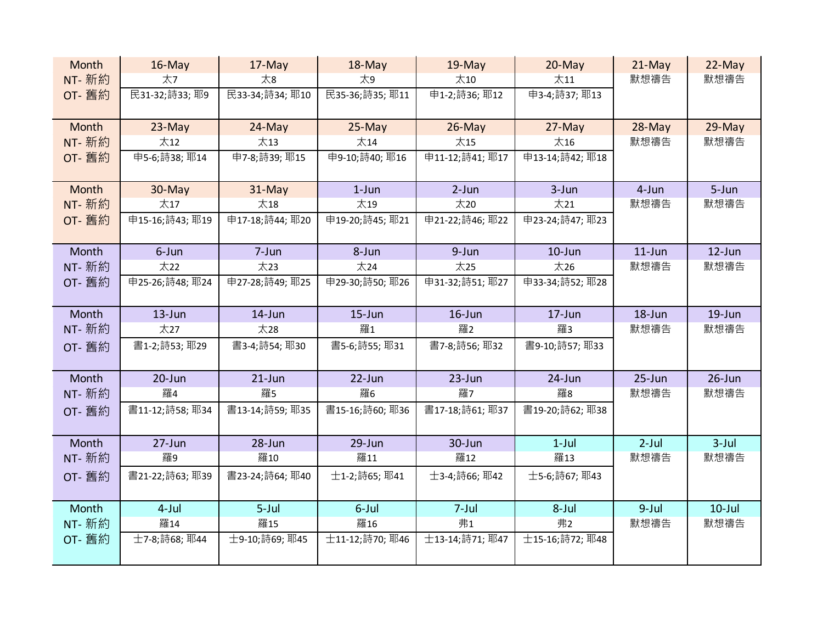| Month         | $16$ -May      | 17-May          | 18-May         | $19$ -May            | $20$ -May       | $21$ -May  | 22-May     |
|---------------|----------------|-----------------|----------------|----------------------|-----------------|------------|------------|
| NT- 新約        | 太7             | 太8              | 太9             | $\pm$ 10             | $\pm$ 11        | 默想禱告       | 默想禱告       |
| OT- 舊約        | 民31-32;詩33;耶9  | 民33-34;詩34;耶10  | 民35-36;詩35;耶11 | 申1-2;詩36;耶12         | 申3-4;詩37; 耶13   |            |            |
|               |                |                 |                |                      |                 |            |            |
| Month         | $23-May$       | 24-May          | $25-May$       | $26$ -May            | 27-May          | 28-May     | 29-May     |
| NT- 新約        | 太12            | 太13             | 太14            | 太15                  | 太16             | 默想禱告       | 默想禱告       |
| OT- 舊約        | 申5-6;詩38;耶14   | 申7-8;詩39;耶15    | 申9-10;詩40; 耶16 | 申11-12;詩41; 耶17      | 申13-14;詩42; 耶18 |            |            |
|               |                |                 |                |                      |                 |            |            |
| Month         | 30-May         | 31-May          | $1-Jun$        | $2-Jun$              | $3 - Jun$       | 4-Jun      | 5-Jun      |
| NT- 新約        | 太17            | 太18             | 太19            | $\overline{\chi}$ 20 | 太21             | 默想禱告       | 默想禱告       |
| OT- 舊約        | 申15-16;詩43;耶19 | 申17-18;詩44;耶20  | 申19-20;詩45;耶21 | 申21-22;詩46; 耶22      | 申23-24;詩47; 耶23 |            |            |
|               |                |                 |                |                      |                 |            |            |
| Month         | 6-Jun          | 7-Jun           | 8-Jun          | 9-Jun                | $10$ -Jun       | $11$ -Jun  | $12$ -Jun  |
| <b>NT-</b> 新約 | 太22            | 太23             | 太24            | 太25                  | 太26             | 默想禱告       | 默想禱告       |
| OT- 舊約        | 申25-26;詩48;耶24 | 申27-28;詩49; 耶25 | 申29-30;詩50;耶26 | 申31-32;詩51; 耶27      | 申33-34;詩52; 耶28 |            |            |
|               |                |                 |                |                      |                 |            |            |
| Month         | $13 - Jun$     | 14-Jun          | $15$ -Jun      | $16$ -Jun            | $17 - Jun$      | 18-Jun     | $19 - Jun$ |
| <b>NT-</b> 新約 | 太27            | 太28             | 羅1             | 羅2                   | 羅3              | 默想禱告       | 默想禱告       |
| OT- 舊約        | 書1-2;詩53;耶29   | 書3-4;詩54;耶30    | 書5-6;詩55;耶31   | 書7-8;詩56;耶32         | 書9-10;詩57;耶33   |            |            |
|               |                |                 |                |                      |                 |            |            |
| Month         | $20 - Jun$     | $21$ -Jun       | $22$ -Jun      | 23-Jun               | 24-Jun          | $25 - Jun$ | 26-Jun     |
| NT- 新約        | 羅4             | 羅5              | 羅6             | 羅7                   | 羅8              | 默想禱告       | 默想禱告       |
| OT- 舊約        | 書11-12;詩58;耶34 | 書13-14;詩59;耶35  | 書15-16;詩60;耶36 | 書17-18;詩61; 耶37      | 書19-20;詩62;耶38  |            |            |
|               |                |                 |                |                      |                 |            |            |
| Month         | $27 - Jun$     | 28-Jun          | 29-Jun         | 30-Jun               | $1-Jul$         | $2$ -Jul   | $3$ -Jul   |
| <b>NT-</b> 新約 | 羅9             | 羅10             | 羅11            | 羅12                  | 羅13             | 默想禱告       | 默想禱告       |
| OT- 舊約        | 書21-22;詩63;耶39 | 書23-24;詩64;耶40  | 士1-2;詩65;耶41   | 士3-4;詩66;耶42         | 士5-6;詩67;耶43    |            |            |
|               |                |                 |                |                      |                 |            |            |
| Month         | $4$ -Jul       | $5$ -Jul        | 6-Jul          | $7 -$ Jul            | 8-Jul           | $9$ -Jul   | $10$ -Jul  |
| <b>NT-</b> 新約 | 羅14            | 羅15             | 羅16            | 弗1                   | 弗2              | 默想禱告       | 默想禱告       |
| OT- 舊約        | 士7-8;詩68;耶44   | 士9-10;詩69;耶45   | 士11-12;詩70;耶46 | 士13-14;詩71;耶47       | 士15-16;詩72;耶48  |            |            |
|               |                |                 |                |                      |                 |            |            |
|               |                |                 |                |                      |                 |            |            |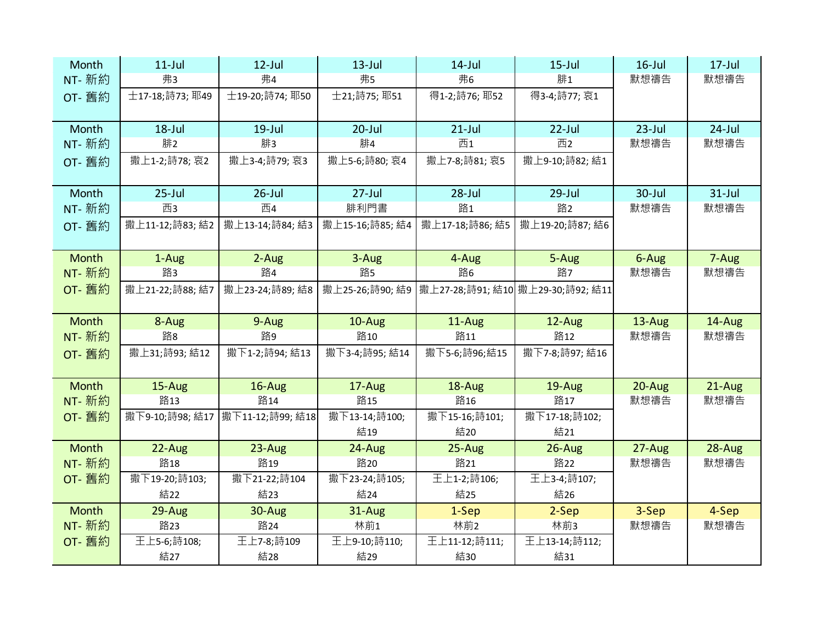| Month         | $11$ -Jul          | $12$ -Jul         | $13$ -Jul           | $14$ -Jul                           | $15$ -Jul            | $16$ -Jul | $17 -$ Jul |
|---------------|--------------------|-------------------|---------------------|-------------------------------------|----------------------|-----------|------------|
| NT- 新約        | 弗3                 | 弗4                | 弗5                  | 弗6                                  | 腓1                   | 默想禱告      | 默想禱告       |
| OT- 舊約        | 士17-18;詩73; 耶49    | 士19-20;詩74; 耶50   | 士21;詩75;耶51         | 得1-2;詩76;耶52                        | 得3-4;詩77; 哀1         |           |            |
|               |                    |                   |                     |                                     |                      |           |            |
| Month         | $18$ -Jul          | $19$ -Jul         | $20$ -Jul           | $21$ -Jul                           | $22$ -Jul            | $23$ -Jul | $24$ -Jul  |
| NT- 新約        | 腓2                 | 腓3                | 腓4                  | 西1                                  | 西2                   | 默想禱告      | 默想禱告       |
| OT- 舊約        | 撒上1-2;詩78; 哀2      | 撒上3-4;詩79; 哀3     | 撒上5-6;詩80;哀4        | 撒上7-8;詩81; 哀5                       | 撒上9-10;詩82;結1        |           |            |
|               |                    |                   |                     |                                     |                      |           |            |
| Month         | $25$ -Jul          | $26$ -Jul         | $27$ -Jul           | $28 -$ Jul                          | $29$ -Jul            | 30-Jul    | $31$ -Jul  |
| NT- 新約        | 西3                 | 西4                | 腓利門書                | 路1                                  | 路2                   | 默想禱告      | 默想禱告       |
| OT- 舊約        | 撒上11-12;詩83;結2     | 撒上13-14;詩84; 結3   | 撒上15-16;詩85;結4      | 撒上17-18;詩86;結5                      | 撒上19-20;詩87;結6       |           |            |
|               |                    |                   |                     |                                     |                      |           |            |
| <b>Month</b>  | 1-Aug              | 2-Aug             | 3-Aug               | 4-Aug                               | 5-Aug                | 6-Aug     | 7-Aug      |
| NT- 新約        | 路3                 | 路4                | 路5                  | 路6                                  | 路7                   | 默想禱告      | 默想禱告       |
| OT- 舊約        | 撒上21-22;詩88;結7     | 撒上23-24;詩89;結8    | 撒上25-26;詩90;結9      | 撒上27-28;詩91; 結10   撒上29-30;詩92; 結11 |                      |           |            |
|               |                    |                   |                     |                                     |                      |           |            |
| <b>Month</b>  | 8-Aug              | 9-Aug             | 10-Aug              | 11-Aug                              | 12-Aug               | 13-Aug    | 14-Aug     |
| NT- 新約        | 路8                 | 路9                | 路10                 | 路11                                 | 路12                  | 默想禱告      | 默想禱告       |
| OT- 舊約        | 撒上31;詩93;結12       | 撒下1-2;詩94;結13     | 撒下3-4;詩95;結14       | 撒下5-6;詩96;結15                       | 撒下7-8;詩97;結16        |           |            |
|               |                    |                   |                     |                                     |                      |           |            |
| <b>Month</b>  | 15-Aug             | $16$ -Aug         | 17-Aug              | 18-Aug                              | 19-Aug               | 20-Aug    | 21-Aug     |
| NT- 新約        | 路13                | 路14               | 路15                 |                                     |                      |           |            |
| OT- 舊約        |                    |                   |                     | 路16                                 | 路17                  | 默想禱告      | 默想禱告       |
|               | 撒下9-10;詩98;結17     | 撒下11-12;詩99;結18   | 撒下13-14;詩100;       | 撒下15-16;詩101;                       | 撒下17-18;詩102;        |           |            |
|               |                    |                   | 結19                 | 結20                                 | 結21                  |           |            |
| <b>Month</b>  | 22-Aug             | 23-Aug            | 24-Aug              | 25-Aug                              | $26$ -Aug            | $27-Aug$  | 28-Aug     |
| NT- 新約        | 路18                | 路19               | 路20                 | 路21                                 | 路22                  | 默想禱告      | 默想禱告       |
| OT- 舊約        | 撒下19-20;詩103;      | 撒下21-22;詩104      | 撒下23-24;詩105;       | 王上1-2;詩106;                         | 王上3-4;詩107;          |           |            |
|               | 結22                | 結23               | 結24                 | 結25                                 | 結26                  |           |            |
| <b>Month</b>  | 29-Aug             | 30-Aug            | 31-Aug              | 1-Sep                               | 2-Sep                | 3-Sep     | 4-Sep      |
| <b>NT-</b> 新約 | 路23                | 路24               | 林前1                 | 林前2                                 | 林前3                  | 默想禱告      | 默想禱告       |
| OT- 舊約        | 王上5-6;詩108;<br>結27 | 王上7-8;詩109<br>結28 | 王上9-10;詩110;<br>結29 | 王上11-12;詩111;<br>結30                | 王上13-14;詩112;<br>結31 |           |            |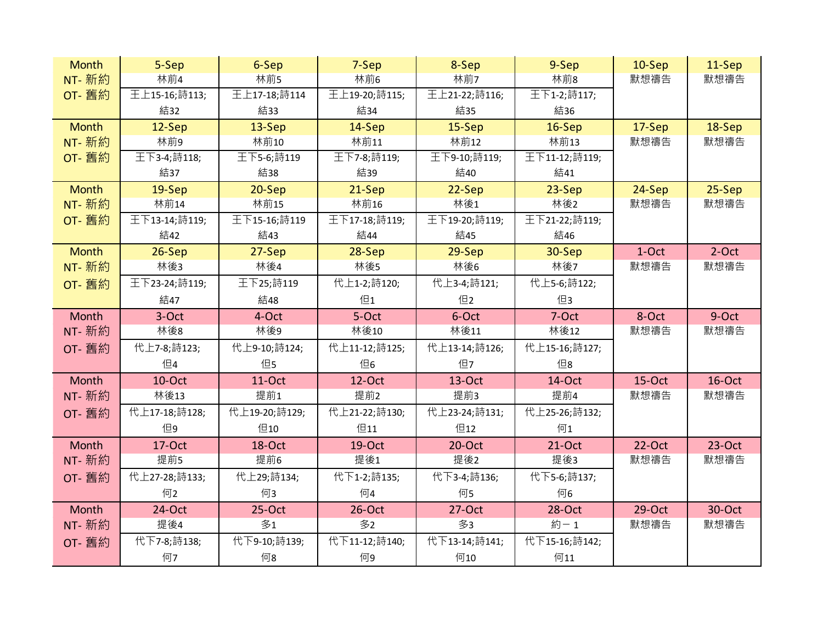| <b>Month</b>  | 5-Sep         | 6-Sep         | 7-Sep         | 8-Sep         | 9-Sep         | $10-$ Sep | 11-Sep   |
|---------------|---------------|---------------|---------------|---------------|---------------|-----------|----------|
| NT- 新約        | 林前4           | 林前5           | 林前6           | 林前7           | 林前8           | 默想禱告      | 默想禱告     |
| OT- 舊約        | 王上15-16;詩113; | 王上17-18;詩114  | 王上19-20;詩115; | 王上21-22;詩116; | 王下1-2;詩117;   |           |          |
|               | 結32           | 結33           | 結34           | 結35           | 結36           |           |          |
| <b>Month</b>  | $12-Sep$      | 13-Sep        | 14-Sep        | $15-$ Sep     | $16-Sep$      | 17-Sep    | 18-Sep   |
| NT- 新約        | 林前9           | 林前10          | 林前11          | 林前12          | 林前13          | 默想禱告      | 默想禱告     |
| OT- 舊約        | 王下3-4;詩118;   | 王下5-6;詩119    | 王下7-8;詩119;   | 王下9-10;詩119;  | 王下11-12;詩119; |           |          |
|               | 結37           | 結38           | 結39           | 結40           | 結41           |           |          |
| <b>Month</b>  | $19-$ Sep     | $20-Sep$      | 21-Sep        | $22-Sep$      | $23-Sep$      | 24-Sep    | 25-Sep   |
| NT- 新約        | 林前14          | 林前15          | 林前16          | 林後1           | 林後2           | 默想禱告      | 默想禱告     |
| OT- 舊約        | 王下13-14;詩119; | 王下15-16;詩119  | 王下17-18;詩119; | 王下19-20;詩119; | 王下21-22;詩119; |           |          |
|               | 結42           | 結43           | 結44           | 結45           | 結46           |           |          |
| <b>Month</b>  | $26-Sep$      | $27-Sep$      | $28-Sep$      | $29-$ Sep     | 30-Sep        | 1-Oct     | $2-Oct$  |
| NT- 新約        | 林後3           | 林後4           | 林後5           | 林後6           | 林後7           | 默想禱告      | 默想禱告     |
| OT- 舊約        | 王下23-24;詩119; | 王下25;詩119     | 代上1-2;詩120;   | 代上3-4;詩121;   | 代上5-6;詩122;   |           |          |
|               | 結47           | 結48           | 但1            | 但2            | 但3            |           |          |
| Month         | 3-Oct         | 4-Oct         | 5-Oct         | 6-Oct         | $7-Oct$       | 8-Oct     | 9-Oct    |
| <b>NT-</b> 新約 | 林後8           | 林後9           | 林後10          | 林後11          | 林後12          | 默想禱告      | 默想禱告     |
| <b>OT-</b> 舊約 | 代上7-8;詩123;   | 代上9-10;詩124;  | 代上11-12;詩125; | 代上13-14;詩126; | 代上15-16;詩127; |           |          |
|               | 但4            | 但5            | 但6            | 但7            | 但8            |           |          |
| Month         | 10-Oct        | 11-Oct        | $12$ -Oct     | $13-Oct$      | 14-Oct        | $15-Oct$  | 16-Oct   |
| NT- 新約        | 林後13          | 提前1           | 提前2           | 提前3           | 提前4           | 默想禱告      | 默想禱告     |
| OT- 舊約        | 代上17-18;詩128; | 代上19-20;詩129; | 代上21-22;詩130; | 代上23-24;詩131; | 代上25-26;詩132; |           |          |
|               | 但9            | 但10           | 但11           | 但12           | 何1            |           |          |
| Month         | 17-Oct        | 18-Oct        | $19$ -Oct     | $20$ -Oct     | $21-Oct$      | 22-Oct    | $23-Oct$ |
| NT- 新約        | 提前5           | 提前6           | 提後1           | 提後2           | 提後3           | 默想禱告      | 默想禱告     |
| OT- 舊約        | 代上27-28;詩133; | 代上29;詩134;    | 代下1-2;詩135;   | 代下3-4;詩136;   | 代下5-6;詩137;   |           |          |
|               | 何2            | 何3            | 何4            | 何5            | 何6            |           |          |
| Month         | 24-Oct        | $25-Oct$      | $26$ -Oct     | $27-Oct$      | 28-Oct        | $29-Oct$  | 30-Oct   |
| NT- 新約        | 提後4           | 多1            | 多2            | 多3            | 約-1           | 默想禱告      | 默想禱告     |
| OT- 舊約        | 代下7-8;詩138;   | 代下9-10;詩139;  | 代下11-12;詩140; | 代下13-14;詩141; | 代下15-16;詩142; |           |          |
|               | 何7            | 何8            | 何9            | 何10           | 何11           |           |          |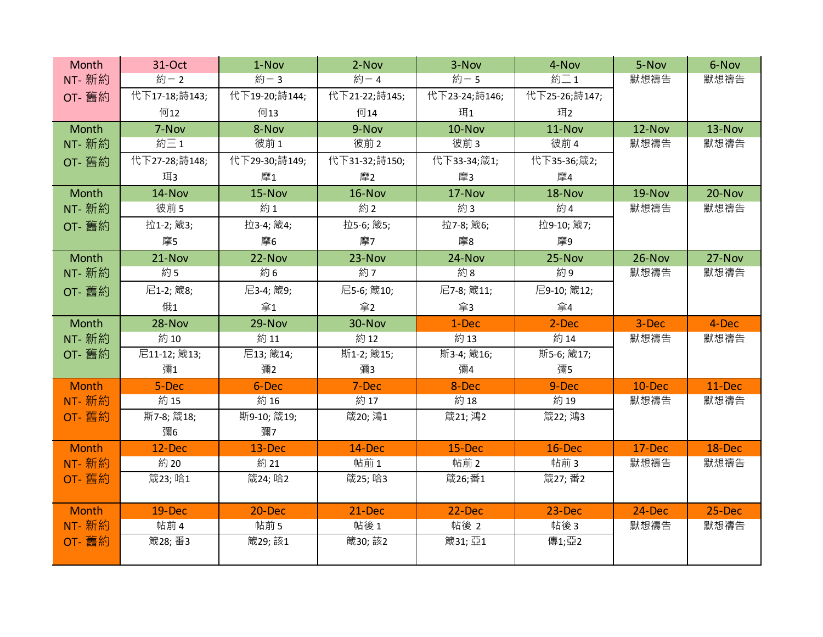| Month         | 31-Oct         | 1-Nov          | $2-Nov$       | 3-Nov          | 4-Nov         | 5-Nov          | 6-Nov  |
|---------------|----------------|----------------|---------------|----------------|---------------|----------------|--------|
| <b>NT-</b> 新約 | 約-2            | 約-3            | 約-4           | 約-5            | 約二1           | 默想禱告           | 默想禱告   |
| OT- 舊約        | 代下17-18;詩143;  | 代下19-20;詩144;  | 代下21-22;詩145; | 代下23-24;詩146;  | 代下25-26;詩147; |                |        |
|               | 何12            | 何13            | 何14           | 珥1             | 珥2            |                |        |
| Month         | 7-Nov          | 8-Nov          | 9-Nov         | 10-Nov         | 11-Nov        | 12-Nov         | 13-Nov |
| NT- 新約        | 約三1            | 彼前1            | 彼前2           | 彼前3            | 彼前 4          | 默想禱告           | 默想禱告   |
| OT- 舊約        | 代下27-28;詩148;  | 代下29-30;詩149;  | 代下31-32;詩150; | 代下33-34;箴1;    | 代下35-36;箴2;   |                |        |
|               | 珥3             | 摩1             | 摩2            | 摩3             | 摩4            |                |        |
| Month         | 14-Nov         | 15-Nov         | 16-Nov        | 17-Nov         | 18-Nov        | 19-Nov         | 20-Nov |
| NT- 新約        | 彼前 5           | 約1             | 約2            | 約3             | 約4            | 默想禱告           | 默想禱告   |
| OT- 舊約        | 拉1-2; 箴3;      | 拉3-4; 箴4;      | 拉5-6; 箴5;     | 拉7-8; 箴6;      | 拉9-10; 箴7;    |                |        |
|               | 摩5             | 摩6             | 摩7            | 摩8             | 摩9            |                |        |
| Month         | 21-Nov         | 22-Nov         | 23-Nov        | 24-Nov         | 25-Nov        | 26-Nov         | 27-Nov |
| NT- 新約        | 約5             | 約6             | 約7            | 約8             | 約9            | 默想禱告           | 默想禱告   |
| OT- 舊約        | 尼1-2; 箴8;      | 尼3-4; 箴9;      | 尼5-6; 箴10;    | 尼7-8; 箴11;     | 尼9-10; 箴12;   |                |        |
|               | 俄1             | 拿1             | 拿2            | 拿3             | 拿4            |                |        |
| Month         | 28-Nov         | 29-Nov         | 30-Nov        | 1-Dec          | 2-Dec         | 3-Dec          | 4-Dec  |
| NT- 新約        | 約10            | 約11            | 約12           | 約13            | 約14           | 默想禱告           | 默想禱告   |
| OT- 舊約        | 尼11-12; 箴13;   | 尼13; 箴14;      | 斯1-2; 箴15;    | 斯3-4; 箴16;     | 斯5-6; 箴17;    |                |        |
|               | 彌1             | 彌2             | 彌3            | 彌4             | 彌5            |                |        |
| <b>Month</b>  | 5-Dec          | 6-Dec          | 7-Dec         | 8-Dec          | 9-Dec         | 10-Dec         | 11-Dec |
| NT- 新約        | 約15            | 約16            | 約17           | 約18            | 約19           | 默想禱告           | 默想禱告   |
| OT- 舊約        | 斯7-8; 箴18;     | 斯9-10; 箴19;    | 箴20; 鴻1       | 箴21; 鴻2        | 箴22; 鴻3       |                |        |
|               | 彌6             | 彌7             |               |                |               |                |        |
| <b>Month</b>  | 12-Dec         | 13-Dec         | 14-Dec        | 15-Dec         | 16-Dec        | 17-Dec         | 18-Dec |
| NT- 新約        | 約20            | 約 21           | 帖前1           | 帖前2            | 帖前3           | 默想禱告           | 默想禱告   |
| OT- 舊約        | 箴23; 哈1        | 箴24; 哈2        | 箴25; 哈3       | 箴26;番1         | 箴27; 番2       |                |        |
| <b>Month</b>  |                |                |               |                |               |                | 25-Dec |
| NT- 新約        | 19-Dec<br>帖前 4 | 20-Dec<br>帖前 5 | 21-Dec<br>帖後1 | 22-Dec<br>帖後 2 | 23-Dec<br>帖後3 | 24-Dec<br>默想禱告 | 默想禱告   |
| OT- 舊約        | 箴28; 番3        | 箴29;該1         | 箴30;該2        | 箴31; 亞1        | 傳1;亞2         |                |        |
|               |                |                |               |                |               |                |        |
|               |                |                |               |                |               |                |        |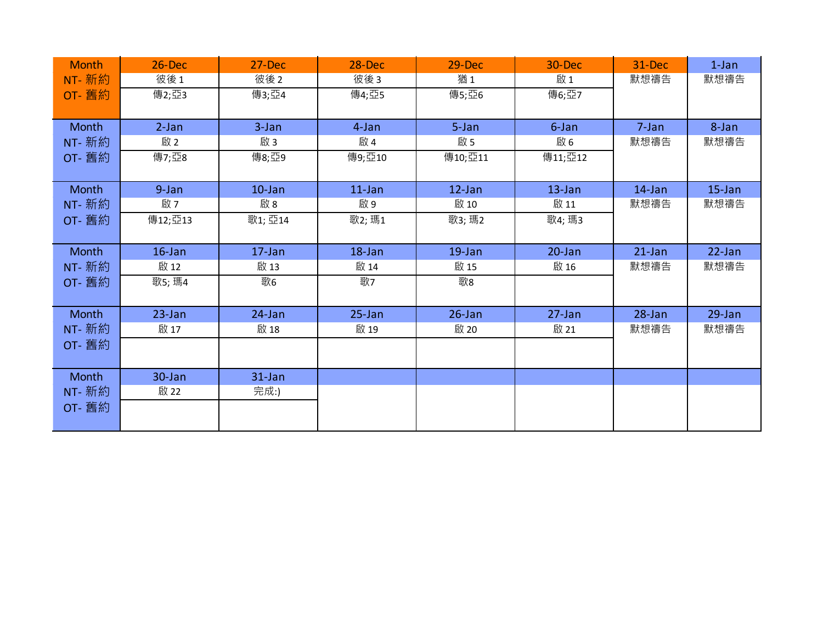| <b>Month</b> | 26-Dec    | 27-Dec    | 28-Dec     | 29-Dec    | 30-Dec     | 31-Dec     | $1$ -Jan  |
|--------------|-----------|-----------|------------|-----------|------------|------------|-----------|
| NT- 新約       | 彼後1       | 彼後2       | 彼後3        | 猶1        | 啟1         | 默想禱告       | 默想禱告      |
| OT- 舊約       | 傳2;亞3     | 傳3;亞4     | 傳4;亞5      | 傳5;亞6     | 傳6;亞7      |            |           |
|              |           |           |            |           |            |            |           |
| Month        | $2-Jan$   | $3 - Jan$ | 4-Jan      | 5-Jan     | 6-Jan      | 7-Jan      | 8-Jan     |
| NT- 新約       | 啟2        | 啟3        | 啟 4        | 啟 5       | 啟6         | 默想禱告       | 默想禱告      |
| OT- 舊約       | 傳7;亞8     | 傳8;亞9     | 傳9;亞10     | 傳10;亞11   | 傳11;亞12    |            |           |
|              |           |           |            |           |            |            |           |
| Month        | 9-Jan     | $10$ -Jan | $11$ -Jan  | $12$ -Jan | $13$ -Jan  | $14$ -Jan  | $15$ -Jan |
| NT- 新約       | 啟 7       | 啟8        | 啟9         | 啟 10      | 啟 11       | 默想禱告       | 默想禱告      |
| OT- 舊約       | 傳12;亞13   | 歌1; 亞14   | 歌2; 瑪1     | 歌3; 瑪2    | 歌4; 瑪3     |            |           |
|              |           |           |            |           |            |            |           |
| Month        | $16$ -Jan | $17$ -Jan | $18$ -Jan  | $19$ -Jan | $20 - Jan$ | $21$ -Jan  | 22-Jan    |
| NT- 新約       | 啟 12      | 啟 13      | 啟 14       | 啟 15      | 啟 16       | 默想禱告       | 默想禱告      |
| OT- 舊約       | 歌5; 瑪4    | 歌6        | 歌7         | 歌8        |            |            |           |
|              |           |           |            |           |            |            |           |
| Month        | $23$ -Jan | 24-Jan    | $25 - Jan$ | $26$ -Jan | 27-Jan     | $28 - Jan$ | $29$ -Jan |
| NT- 新約       | 啟 17      | 啟 18      | 啟 19       | 啟 20      | 啟 21       | 默想禱告       | 默想禱告      |
| OT- 舊約       |           |           |            |           |            |            |           |
|              |           |           |            |           |            |            |           |
| Month        | 30-Jan    | $31$ -Jan |            |           |            |            |           |
| NT- 新約       | 啟 22      | 完成:)      |            |           |            |            |           |
| OT- 舊約       |           |           |            |           |            |            |           |
|              |           |           |            |           |            |            |           |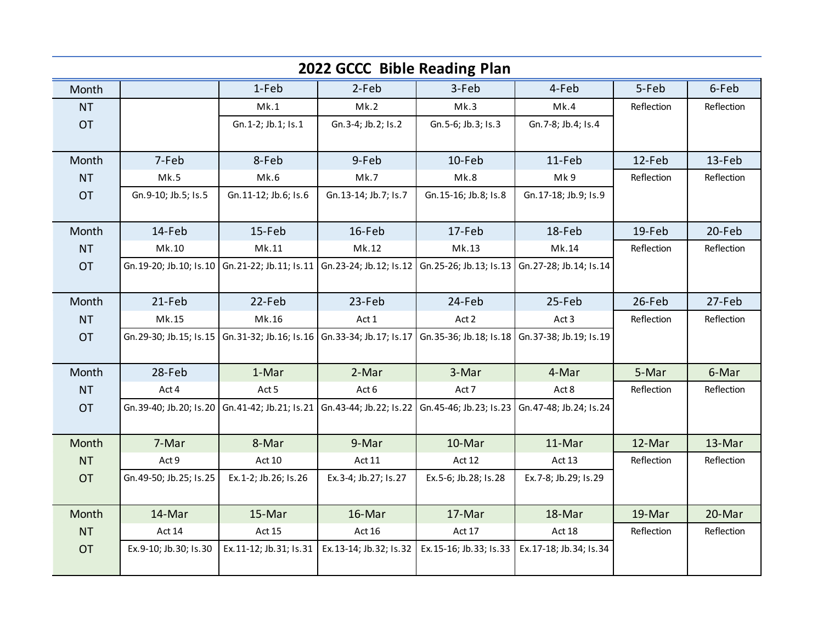|           | 2022 GCCC Bible Reading Plan |                                                                                                                                           |                         |                           |                           |            |            |  |  |  |
|-----------|------------------------------|-------------------------------------------------------------------------------------------------------------------------------------------|-------------------------|---------------------------|---------------------------|------------|------------|--|--|--|
| Month     |                              | 1-Feb                                                                                                                                     | 2-Feb                   | 3-Feb                     | 4-Feb                     | 5-Feb      | 6-Feb      |  |  |  |
| <b>NT</b> |                              | Mk.1                                                                                                                                      | Mk.2                    | Mk.3                      | Mk.4                      | Reflection | Reflection |  |  |  |
| <b>OT</b> |                              | Gn. 1-2; Jb. 1; Is. 1                                                                                                                     | Gn.3-4; Jb.2; Is.2      | Gn.5-6; Jb.3; Is.3        | Gn. 7-8; Jb. 4; Is. 4     |            |            |  |  |  |
|           |                              |                                                                                                                                           |                         |                           |                           |            |            |  |  |  |
| Month     | 7-Feb                        | 8-Feb                                                                                                                                     | 9-Feb                   | 10-Feb                    | 11-Feb                    | 12-Feb     | 13-Feb     |  |  |  |
| <b>NT</b> | Mk.5                         | Mk.6                                                                                                                                      | Mk.7                    | Mk.8                      | Mk9                       | Reflection | Reflection |  |  |  |
| <b>OT</b> | Gn.9-10; Jb.5; Is.5          | Gn. 11-12; Jb. 6; Is. 6                                                                                                                   | Gn. 13-14; Jb. 7; Is. 7 | Gn. 15-16; Jb. 8; Is. 8   | Gn. 17-18; Jb. 9; Is. 9   |            |            |  |  |  |
|           |                              |                                                                                                                                           |                         |                           |                           |            |            |  |  |  |
| Month     | 14-Feb                       | 15-Feb                                                                                                                                    | 16-Feb                  | 17-Feb                    | 18-Feb                    | 19-Feb     | 20-Feb     |  |  |  |
| <b>NT</b> | Mk.10                        | Mk.11                                                                                                                                     | Mk.12                   | Mk.13                     | Mk.14                     | Reflection | Reflection |  |  |  |
| <b>OT</b> |                              | Gn. 19-20; Jb. 10; Is. 10   Gn. 21-22; Jb. 11; Is. 11   Gn. 23-24; Jb. 12; Is. 12   Gn. 25-26; Jb. 13; Is. 13   Gn. 27-28; Jb. 14; Is. 14 |                         |                           |                           |            |            |  |  |  |
|           |                              |                                                                                                                                           |                         |                           |                           |            |            |  |  |  |
| Month     | 21-Feb                       | 22-Feb                                                                                                                                    | 23-Feb                  | 24-Feb                    | 25-Feb                    | 26-Feb     | 27-Feb     |  |  |  |
| <b>NT</b> | Mk.15                        | Mk.16                                                                                                                                     | Act 1                   | Act 2                     | Act 3                     | Reflection | Reflection |  |  |  |
| <b>OT</b> | Gn. 29-30; Jb. 15; Is. 15    | Gn.31-32; Jb.16; Is.16 Gn.33-34; Jb.17; Is.17                                                                                             |                         | Gn.35-36; Jb.18; Is.18    | Gn.37-38; Jb.19; Is.19    |            |            |  |  |  |
|           |                              |                                                                                                                                           |                         |                           |                           |            |            |  |  |  |
| Month     | 28-Feb                       | 1-Mar                                                                                                                                     | 2-Mar                   | 3-Mar                     | 4-Mar                     | 5-Mar      | 6-Mar      |  |  |  |
| <b>NT</b> | Act 4                        | Act 5                                                                                                                                     | Act 6                   | Act 7                     | Act 8                     | Reflection | Reflection |  |  |  |
| <b>OT</b> | Gn.39-40; Jb.20; Is.20       | Gn. 41-42; Jb. 21; Is. 21   Gn. 43-44; Jb. 22; Is. 22                                                                                     |                         | Gn. 45-46; Jb. 23; Is. 23 | Gn. 47-48; Jb. 24; Is. 24 |            |            |  |  |  |
|           |                              |                                                                                                                                           |                         |                           |                           |            |            |  |  |  |
| Month     | 7-Mar                        | 8-Mar                                                                                                                                     | 9-Mar                   | 10-Mar                    | 11-Mar                    | 12-Mar     | 13-Mar     |  |  |  |
| <b>NT</b> | Act 9                        | Act 10                                                                                                                                    | Act 11                  | Act 12                    | Act 13                    | Reflection | Reflection |  |  |  |
| <b>OT</b> | Gn. 49-50; Jb. 25; Is. 25    | Ex.1-2; Jb.26; Is.26                                                                                                                      | Ex.3-4; Jb.27; Is.27    | Ex.5-6; Jb.28; Is.28      | Ex.7-8; Jb.29; Is.29      |            |            |  |  |  |
|           |                              |                                                                                                                                           |                         |                           |                           |            |            |  |  |  |
| Month     | 14-Mar                       | 15-Mar                                                                                                                                    | 16-Mar                  | 17-Mar                    | 18-Mar                    | 19-Mar     | 20-Mar     |  |  |  |
| <b>NT</b> | Act 14                       | <b>Act 15</b>                                                                                                                             | Act 16                  | Act 17                    | Act 18                    | Reflection | Reflection |  |  |  |
| <b>OT</b> | Ex.9-10; Jb.30; Is.30        | Ex.11-12; Jb.31; Is.31                                                                                                                    | Ex.13-14; Jb.32; Is.32  | Ex.15-16; Jb.33; Is.33    | Ex.17-18; Jb.34; Is.34    |            |            |  |  |  |
|           |                              |                                                                                                                                           |                         |                           |                           |            |            |  |  |  |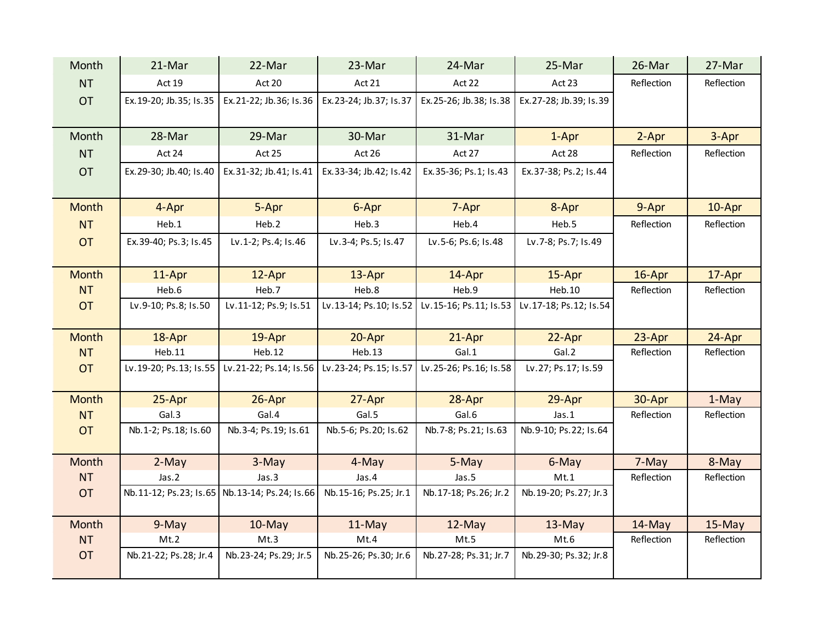| Month        | 21-Mar                 | 22-Mar                                        | 23-Mar                 | 24-Mar                  | 25-Mar                   | 26-Mar     | 27-Mar     |
|--------------|------------------------|-----------------------------------------------|------------------------|-------------------------|--------------------------|------------|------------|
| <b>NT</b>    | Act 19                 | Act 20                                        | Act 21                 | Act 22                  | Act 23                   | Reflection | Reflection |
| <b>OT</b>    | Ex.19-20; Jb.35; Is.35 | Ex.21-22; Jb.36; Is.36                        | Ex.23-24; Jb.37; Is.37 | Ex.25-26; Jb.38; Is.38  | Ex.27-28; Jb.39; Is.39   |            |            |
| Month        | 28-Mar                 | 29-Mar                                        | 30-Mar                 | 31-Mar                  | 1-Apr                    | 2-Apr      | 3-Apr      |
| <b>NT</b>    | Act 24                 | Act 25                                        | Act 26                 | Act 27                  | Act 28                   | Reflection | Reflection |
| <b>OT</b>    | Ex.29-30; Jb.40; Is.40 | Ex.31-32; Jb.41; Is.41                        | Ex.33-34; Jb.42; Is.42 | Ex.35-36; Ps.1; Is.43   | Ex.37-38; Ps.2; Is.44    |            |            |
| <b>Month</b> | 4-Apr                  | 5-Apr                                         | 6-Apr                  | 7-Apr                   | 8-Apr                    | 9-Apr      | 10-Apr     |
| <b>NT</b>    | Heb.1                  | Heb.2                                         | Heb.3                  | Heb.4                   | Heb.5                    | Reflection | Reflection |
| <b>OT</b>    | Ex.39-40; Ps.3; Is.45  | Lv.1-2; Ps.4; Is.46                           | Lv.3-4; Ps.5; Is.47    | Lv.5-6; Ps.6; Is.48     | Lv.7-8; Ps.7; Is.49      |            |            |
| Month        | 11-Apr                 | 12-Apr                                        | 13-Apr                 | 14-Apr                  | 15-Apr                   | 16-Apr     | 17-Apr     |
| <b>NT</b>    | Heb.6                  | Heb.7                                         | Heb.8                  | Heb.9                   | Heb.10                   | Reflection | Reflection |
| <b>OT</b>    | Lv.9-10; Ps.8; Is.50   | Lv.11-12; Ps.9; Is.51                         | Lv.13-14; Ps.10; Is.52 | Lv.15-16; Ps.11; Is.53  | Lv.17-18; Ps.12; Is.54   |            |            |
| <b>Month</b> | 18-Apr                 | 19-Apr                                        | 20-Apr                 | 21-Apr                  | 22-Apr                   | 23-Apr     | 24-Apr     |
| <b>NT</b>    | Heb.11                 | Heb.12                                        | <b>Heb.13</b>          | Gal.1                   | Gal.2                    | Reflection | Reflection |
| <b>OT</b>    | Lv.19-20; Ps.13; Is.55 | Lv.21-22; Ps.14; Is.56                        | Lv.23-24; Ps.15; Is.57 | Lv.25-26; Ps.16; Is.58  | Lv.27; Ps.17; Is.59      |            |            |
| <b>Month</b> | 25-Apr                 | 26-Apr                                        | 27-Apr                 | 28-Apr                  | 29-Apr                   | 30-Apr     | 1-May      |
| <b>NT</b>    | Gal.3                  | Gal.4                                         | Gal.5                  | Gal.6                   | jas.1                    | Reflection | Reflection |
| <b>OT</b>    | Nb.1-2; Ps.18; Is.60   | Nb.3-4; Ps.19; Is.61                          | Nb.5-6; Ps.20; Is.62   | Nb. 7-8; Ps. 21; Is. 63 | Nb.9-10; Ps.22; Is.64    |            |            |
| Month        | 2-May                  | 3-May                                         | 4-May                  | 5-May                   | 6-May                    | 7-May      | 8-May      |
| <b>NT</b>    | Jas.2                  | Jas.3                                         | Jas.4                  | Jas.5                   | Mt.1                     | Reflection | Reflection |
| <b>OT</b>    |                        | Nb.11-12; Ps.23; Is.65 Nb.13-14; Ps.24; Is.66 | Nb.15-16; Ps.25; Jr.1  | Nb.17-18; Ps.26; Jr.2   | Nb. 19-20; Ps. 27; Jr. 3 |            |            |
| Month        | 9-May                  | $10$ -May                                     | 11-May                 | 12-May                  | $13$ -May                | 14-May     | 15-May     |
| <b>NT</b>    | Mt.2                   | Mt.3                                          | Mt.4                   | Mt.5                    | Mt.6                     | Reflection | Reflection |
| <b>OT</b>    | Nb.21-22; Ps.28; Jr.4  | Nb.23-24; Ps.29; Jr.5                         | Nb.25-26; Ps.30; Jr.6  | Nb.27-28; Ps.31; Jr.7   | Nb.29-30; Ps.32; Jr.8    |            |            |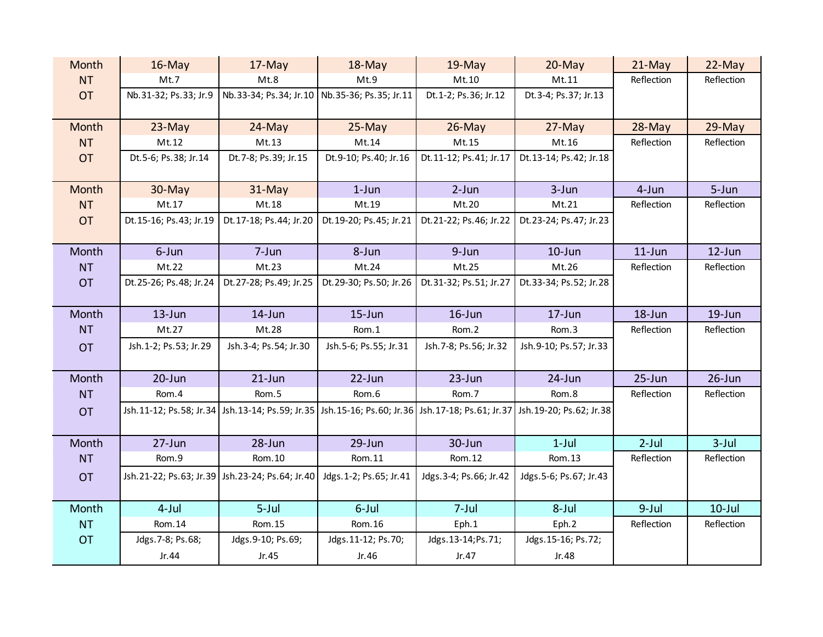| Month     | $16$ -May                | 17-May                                          | $18$ -May                                                                                       | $19$ -May                | $20$ -May                  | $21$ -May  | 22-May     |
|-----------|--------------------------|-------------------------------------------------|-------------------------------------------------------------------------------------------------|--------------------------|----------------------------|------------|------------|
| <b>NT</b> | Mt.7                     | Mt.8                                            | Mt.9                                                                                            | Mt.10                    | Mt.11                      | Reflection | Reflection |
| <b>OT</b> | Nb.31-32; Ps.33; Jr.9    | Nb.33-34; Ps.34; Jr.10 Nb.35-36; Ps.35; Jr.11   |                                                                                                 | Dt.1-2; Ps.36; Jr.12     | Dt.3-4; Ps.37; Jr.13       |            |            |
|           |                          |                                                 |                                                                                                 |                          |                            |            |            |
| Month     | 23-May                   | 24-May                                          | 25-May                                                                                          | $26$ -May                | 27-May                     | 28-May     | 29-May     |
| <b>NT</b> | Mt.12                    | Mt.13                                           | Mt.14                                                                                           | Mt.15                    | Mt.16                      | Reflection | Reflection |
| <b>OT</b> | Dt.5-6; Ps.38; Jr.14     | Dt. 7-8; Ps. 39; Jr. 15                         | Dt.9-10; Ps.40; Jr.16                                                                           | Dt.11-12; Ps.41; Jr.17   | Dt.13-14; Ps.42; Jr.18     |            |            |
|           |                          |                                                 |                                                                                                 |                          |                            |            |            |
| Month     | 30-May                   | 31-May                                          | $1$ -Jun                                                                                        | $2-Jun$                  | 3-Jun                      | 4-Jun      | $5 - Jun$  |
| <b>NT</b> | Mt.17                    | Mt.18                                           | Mt.19                                                                                           | Mt.20                    | Mt.21                      | Reflection | Reflection |
| <b>OT</b> | Dt.15-16; Ps.43; Jr.19   | Dt.17-18; Ps.44; Jr.20                          | Dt. 19-20; Ps. 45; Jr. 21                                                                       | Dt.21-22; Ps.46; Jr.22   | Dt.23-24; Ps.47; Jr.23     |            |            |
|           |                          |                                                 |                                                                                                 |                          |                            |            |            |
| Month     | 6-Jun                    | 7-Jun                                           | 8-Jun                                                                                           | 9-Jun                    | $10$ -Jun                  | $11$ -Jun  | 12-Jun     |
| <b>NT</b> | Mt.22                    | Mt.23                                           | Mt.24                                                                                           | Mt.25                    | Mt.26                      | Reflection | Reflection |
| <b>OT</b> | Dt.25-26; Ps.48; Jr.24   | Dt.27-28; Ps.49; Jr.25                          | Dt.29-30; Ps.50; Jr.26                                                                          | Dt.31-32; Ps.51; Jr.27   | Dt.33-34; Ps.52; Jr.28     |            |            |
|           |                          |                                                 |                                                                                                 |                          |                            |            |            |
| Month     | $13$ -Jun                | 14-Jun                                          | $15 - Jun$                                                                                      | $16$ -Jun                | $17 - Jun$                 | 18-Jun     | $19$ -Jun  |
| <b>NT</b> | Mt.27                    | Mt.28                                           | Rom.1                                                                                           | Rom.2                    | Rom.3                      | Reflection | Reflection |
| <b>OT</b> | Jsh. 1-2; Ps. 53; Jr. 29 | Jsh.3-4; Ps.54; Jr.30                           | Jsh.5-6; Ps.55; Jr.31                                                                           | Jsh. 7-8; Ps. 56; Jr. 32 | Jsh.9-10; Ps.57; Jr.33     |            |            |
|           |                          |                                                 |                                                                                                 |                          |                            |            |            |
| Month     | 20-Jun                   | $21$ -Jun                                       | 22-Jun                                                                                          | 23-Jun                   | 24-Jun                     | 25-Jun     | $26$ -Jun  |
| <b>NT</b> | Rom.4                    | Rom.5                                           | Rom.6                                                                                           | Rom.7                    | Rom.8                      | Reflection | Reflection |
| <b>OT</b> |                          |                                                 | Jsh.11-12; Ps.58; Jr.34 Jsh.13-14; Ps.59; Jr.35 Jsh.15-16; Ps.60; Jr.36 Jsh.17-18; Ps.61; Jr.37 |                          | Jsh. 19-20; Ps. 62; Jr. 38 |            |            |
|           |                          |                                                 |                                                                                                 |                          |                            |            |            |
| Month     | 27-Jun                   | 28-Jun                                          | $29$ -Jun                                                                                       | 30-Jun                   | $1$ -Jul                   | $2$ -Jul   | $3$ -Jul   |
| <b>NT</b> | Rom.9                    | Rom. 10                                         | Rom.11                                                                                          | Rom.12                   | Rom.13                     | Reflection | Reflection |
| <b>OT</b> |                          | Jsh.21-22; Ps.63; Jr.39 Jsh.23-24; Ps.64; Jr.40 | Jdgs. 1-2; Ps. 65; Jr. 41                                                                       | Jdgs.3-4; Ps.66; Jr.42   | Jdgs. 5-6; Ps. 67; Jr. 43  |            |            |
|           |                          |                                                 |                                                                                                 |                          |                            |            |            |
| Month     | $4$ -Jul                 | $5$ -Jul                                        | 6-Jul                                                                                           | $7$ -Jul                 | 8-Jul                      | $9$ -Jul   | $10$ -Jul  |
| <b>NT</b> | Rom. 14                  | Rom.15                                          | Rom. 16                                                                                         | Eph.1                    | Eph.2                      | Reflection | Reflection |
| <b>OT</b> | Jdgs. 7-8; Ps. 68;       | Jdgs.9-10; Ps.69;                               | Jdgs. 11-12; Ps. 70;                                                                            | Jdgs. 13-14; Ps. 71;     | Jdgs. 15-16; Ps. 72;       |            |            |
|           | Jr.44                    | Jr.45                                           | Jr.46                                                                                           | Jr.47                    | Jr.48                      |            |            |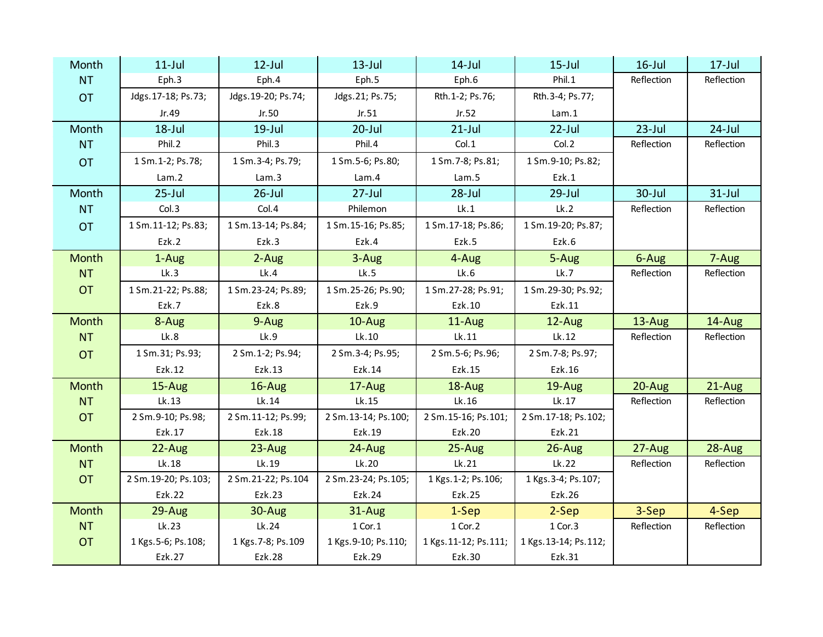| Month     | $11$ -Jul             | $12$ -Jul            | $13$ -Jul             | $14$ -Jul              | $15$ -Jul              | $16$ -Jul  | $17 -$ Jul |
|-----------|-----------------------|----------------------|-----------------------|------------------------|------------------------|------------|------------|
| <b>NT</b> | Eph.3                 | Eph.4                | Eph.5                 | Eph.6                  | Phil.1                 | Reflection | Reflection |
| <b>OT</b> | Jdgs. 17-18; Ps. 73;  | Jdgs. 19-20; Ps. 74; | Jdgs.21; Ps.75;       | Rth.1-2; Ps.76;        | Rth.3-4; Ps.77;        |            |            |
|           | Jr.49                 | Jr.50                | Jr.51                 | Jr.52                  | Lam.1                  |            |            |
| Month     | $18 -$ Jul            | $19$ -Jul            | $20$ -Jul             | $21$ -Jul              | $22$ -Jul              | $23$ -Jul  | $24$ -Jul  |
| <b>NT</b> | Phil.2                | Phil.3               | Phil.4                | Col.1                  | Col.2                  | Reflection | Reflection |
| <b>OT</b> | 1 Sm. 1-2; Ps. 78;    | 1 Sm. 3-4; Ps. 79;   | 1 Sm. 5-6; Ps. 80;    | 1 Sm. 7-8; Ps. 81;     | 1 Sm. 9-10; Ps. 82;    |            |            |
|           | Lam.2                 | Lam.3                | Lam.4                 | Lam.5                  | Ezk.1                  |            |            |
| Month     | $25 -$ Jul            | $26$ -Jul            | $27 -$ Jul            | $28 -$ Jul             | $29$ -Jul              | 30-Jul     | $31$ -Jul  |
| <b>NT</b> | Col.3                 | Col.4                | Philemon              | lk.1                   | Lk.2                   | Reflection | Reflection |
| <b>OT</b> | 1 Sm. 11-12; Ps. 83;  | 1 Sm. 13-14; Ps. 84; | 1 Sm. 15-16; Ps. 85;  | 1 Sm. 17-18; Ps. 86;   | 1 Sm. 19-20; Ps. 87;   |            |            |
|           | Ezk.2                 | Ezk.3                | Ezk.4                 | Ezk.5                  | Ezk.6                  |            |            |
| Month     | 1-Aug                 | $2-Aug$              | 3-Aug                 | 4-Aug                  | 5-Aug                  | 6-Aug      | 7-Aug      |
| <b>NT</b> | Lk.3                  | Lk.4                 | Lk.5                  | Lk.6                   | Lk.7                   | Reflection | Reflection |
| <b>OT</b> | 1 Sm. 21-22; Ps. 88;  | 1 Sm. 23-24; Ps. 89; | 1 Sm. 25-26; Ps. 90;  | 1 Sm. 27-28; Ps. 91;   | 1 Sm. 29-30; Ps. 92;   |            |            |
|           | Ezk.7                 | Ezk.8                | Ezk.9                 | Ezk.10                 | Ezk.11                 |            |            |
| Month     | 8-Aug                 | 9-Aug                | 10-Aug                | 11-Aug                 | 12-Aug                 | 13-Aug     | 14-Aug     |
| <b>NT</b> | Lk.8                  | Lk.9                 | Lk.10                 | Lk.11                  | lk.12                  | Reflection | Reflection |
| <b>OT</b> | 1 Sm. 31; Ps. 93;     | 2 Sm. 1-2; Ps. 94;   | 2 Sm.3-4; Ps.95;      | 2 Sm. 5-6; Ps. 96;     | 2 Sm. 7-8; Ps. 97;     |            |            |
|           | Ezk.12                | Ezk.13               | Ezk.14                | Ezk.15                 | Ezk.16                 |            |            |
| Month     | 15-Aug                | 16-Aug               | 17-Aug                | 18-Aug                 | 19-Aug                 | 20-Aug     | 21-Aug     |
| <b>NT</b> | Lk.13                 | Lk.14                | Lk.15                 | Lk.16                  | Lk.17                  | Reflection | Reflection |
| <b>OT</b> | 2 Sm.9-10; Ps.98;     | 2 Sm. 11-12; Ps. 99; | 2 Sm. 13-14; Ps. 100; | 2 Sm. 15-16; Ps. 101;  | 2 Sm. 17-18; Ps. 102;  |            |            |
|           | Ezk.17                | Ezk.18               | Ezk.19                | Ezk.20                 | Ezk.21                 |            |            |
| Month     | 22-Aug                | $23 - Aug$           | 24-Aug                | $25 - Aug$             | 26-Aug                 | 27-Aug     | 28-Aug     |
| <b>NT</b> | Lk.18                 | Lk.19                | Lk.20                 | Lk.21                  | lk.22                  | Reflection | Reflection |
| <b>OT</b> | 2 Sm. 19-20; Ps. 103; | 2 Sm. 21-22; Ps. 104 | 2 Sm. 23-24; Ps. 105; | 1 Kgs. 1-2; Ps. 106;   | 1 Kgs. 3-4; Ps. 107;   |            |            |
|           | Ezk.22                | <b>Ezk.23</b>        | Ezk.24                | Ezk.25                 | Ezk.26                 |            |            |
| Month     | 29-Aug                | 30-Aug               | 31-Aug                | 1-Sep                  | 2-Sep                  | 3-Sep      | 4-Sep      |
| <b>NT</b> | Lk.23                 | Lk.24                | $1$ Cor. $1$          | 1 Cor. 2               | 1 Cor. 3               | Reflection | Reflection |
| <b>OT</b> | 1 Kgs. 5-6; Ps. 108;  | 1 Kgs. 7-8; Ps. 109  | 1 Kgs. 9-10; Ps. 110; | 1 Kgs. 11-12; Ps. 111; | 1 Kgs. 13-14; Ps. 112; |            |            |
|           | Ezk.27                | Ezk.28               | Ezk.29                | Ezk.30                 | Ezk.31                 |            |            |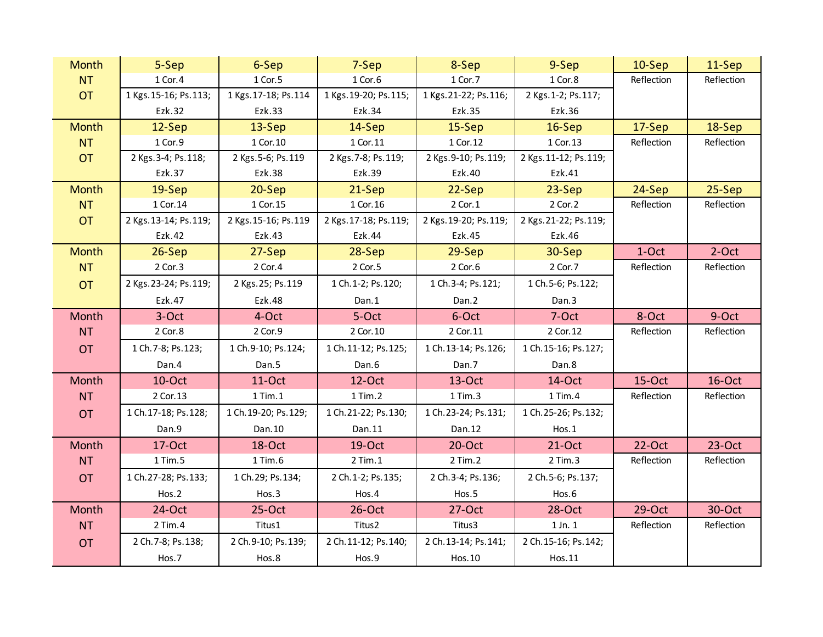| <b>Month</b> | 5-Sep                  | 6-Sep                 | 7-Sep                  | 8-Sep                  | 9-Sep                  | 10-Sep     | 11-Sep     |
|--------------|------------------------|-----------------------|------------------------|------------------------|------------------------|------------|------------|
| <b>NT</b>    | 1 Cor. 4               | 1 Cor. 5              | 1 Cor.6                | 1 Cor. 7               | 1 Cor.8                | Reflection | Reflection |
| <b>OT</b>    | 1 Kgs. 15-16; Ps. 113; | 1 Kgs. 17-18; Ps. 114 | 1 Kgs. 19-20; Ps. 115; | 1 Kgs. 21-22; Ps. 116; | 2 Kgs. 1-2; Ps. 117;   |            |            |
|              | Ezk.32                 | Ezk.33                | Ezk.34                 | Ezk.35                 | Ezk.36                 |            |            |
| <b>Month</b> | 12-Sep                 | 13-Sep                | 14-Sep                 | $15-$ Sep              | 16-Sep                 | 17-Sep     | 18-Sep     |
| <b>NT</b>    | 1 Cor.9                | 1 Cor. 10             | 1 Cor. 11              | 1 Cor. 12              | 1 Cor. 13              | Reflection | Reflection |
| <b>OT</b>    | 2 Kgs. 3-4; Ps. 118;   | 2 Kgs. 5-6; Ps. 119   | 2 Kgs. 7-8; Ps. 119;   | 2 Kgs. 9-10; Ps. 119;  | 2 Kgs. 11-12; Ps. 119; |            |            |
|              | Ezk.37                 | Ezk.38                | Ezk.39                 | Ezk.40                 | Ezk.41                 |            |            |
| <b>Month</b> | 19-Sep                 | 20-Sep                | 21-Sep                 | 22-Sep                 | 23-Sep                 | 24-Sep     | 25-Sep     |
| <b>NT</b>    | 1 Cor. 14              | 1 Cor. 15             | 1 Cor. 16              | 2 Cor. 1               | 2 Cor. 2               | Reflection | Reflection |
| <b>OT</b>    | 2 Kgs. 13-14; Ps. 119; | 2 Kgs. 15-16; Ps. 119 | 2 Kgs. 17-18; Ps. 119; | 2 Kgs. 19-20; Ps. 119; | 2 Kgs. 21-22; Ps. 119; |            |            |
|              | Ezk.42                 | Ezk.43                | Ezk.44                 | Ezk.45                 | Ezk.46                 |            |            |
| <b>Month</b> | $26-Sep$               | $27-Sep$              | 28-Sep                 | 29-Sep                 | 30-Sep                 | 1-Oct      | $2$ -Oct   |
| <b>NT</b>    | 2 Cor. 3               | 2 Cor. 4              | 2 Cor.5                | 2 Cor.6                | 2 Cor. 7               | Reflection | Reflection |
| <b>OT</b>    | 2 Kgs. 23-24; Ps. 119; | 2 Kgs. 25; Ps. 119    | 1 Ch. 1-2; Ps. 120;    | 1 Ch.3-4; Ps.121;      | 1 Ch.5-6; Ps.122;      |            |            |
|              | Ezk.47                 | Ezk.48                | Dan.1                  | Dan.2                  | Dan.3                  |            |            |
| Month        | 3-Oct                  | 4-Oct                 | 5-Oct                  | 6-Oct                  | 7-Oct                  | 8-Oct      | 9-Oct      |
| <b>NT</b>    | 2 Cor.8                | 2 Cor.9               | 2 Cor. 10              | 2 Cor. 11              | 2 Cor. 12              | Reflection | Reflection |
| <b>OT</b>    | 1 Ch. 7-8; Ps. 123;    | 1 Ch.9-10; Ps.124;    | 1 Ch. 11-12; Ps. 125;  | 1 Ch. 13-14; Ps. 126;  | 1 Ch. 15-16; Ps. 127;  |            |            |
|              | Dan.4                  | Dan.5                 | Dan.6                  | Dan.7                  | Dan.8                  |            |            |
| Month        | 10-Oct                 | 11-Oct                | 12-Oct                 | $13$ -Oct              | 14-Oct                 | 15-Oct     | 16-Oct     |
| <b>NT</b>    | 2 Cor. 13              | $1$ Tim. $1$          | 1 Tim. 2               | 1 Tim.3                | 1 Tim.4                | Reflection | Reflection |
| <b>OT</b>    | 1 Ch. 17-18; Ps. 128;  | 1 Ch. 19-20; Ps. 129; | 1 Ch. 21-22; Ps. 130;  | 1 Ch. 23-24; Ps. 131;  | 1 Ch. 25-26; Ps. 132;  |            |            |
|              | Dan.9                  | Dan. 10               | Dan.11                 | Dan. 12                | $H$ os.1               |            |            |
| Month        | 17-Oct                 | 18-Oct                | 19-Oct                 | $20$ -Oct              | 21-Oct                 | 22-Oct     | $23$ -Oct  |
| NT           | 1 Tim.5                | 1 Tim.6               | $2$ Tim. $1$           | 2 Tim. 2               | $2$ Tim. $3$           | Reflection | Reflection |
| <b>OT</b>    | 1 Ch. 27-28; Ps. 133;  | 1 Ch. 29; Ps. 134;    | 2 Ch. 1-2; Ps. 135;    | 2 Ch. 3-4; Ps. 136;    | 2 Ch.5-6; Ps.137;      |            |            |
|              | Hos.2                  | Hos.3                 | Hos.4                  | Hos.5                  | Hos.6                  |            |            |
| Month        | 24-Oct                 | $25-Oct$              | $26$ -Oct              | $27-Oct$               | 28-Oct                 | 29-Oct     | 30-Oct     |
| <b>NT</b>    | 2 Tim.4                | Titus1                | Titus2                 | Titus3                 | $1$ Jn. $1$            | Reflection | Reflection |
| <b>OT</b>    | 2 Ch. 7-8; Ps. 138;    | 2 Ch. 9-10; Ps. 139;  | 2 Ch. 11-12; Ps. 140;  | 2 Ch. 13-14; Ps. 141;  | 2 Ch. 15-16; Ps. 142;  |            |            |
|              | Hos.7                  | Hos.8                 | Hos.9                  | Hos. 10                | Hos.11                 |            |            |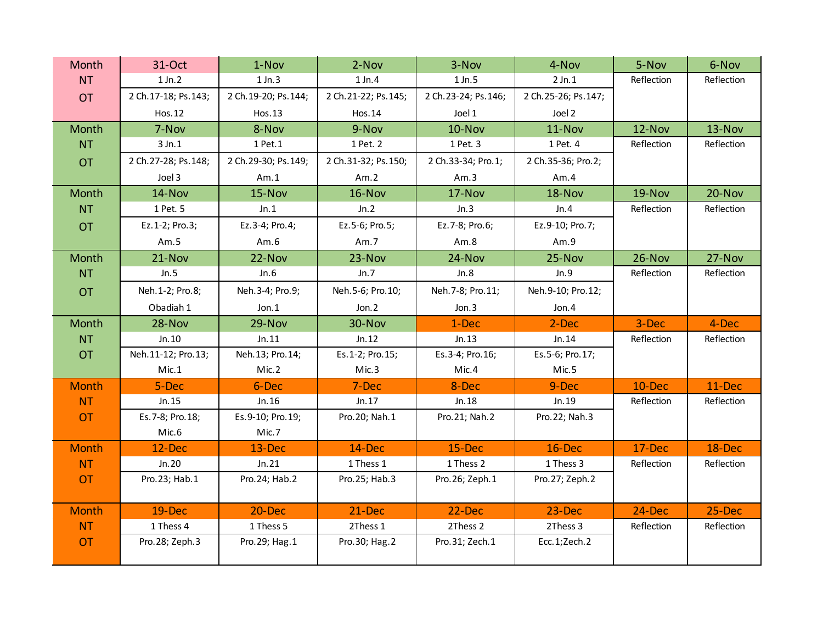| Month        | 31-Oct                | 1-Nov                 | 2-Nov                 | 3-Nov                 | 4-Nov                 | 5-Nov      | 6-Nov      |
|--------------|-----------------------|-----------------------|-----------------------|-----------------------|-----------------------|------------|------------|
| <b>NT</b>    | $1$ Jn. $2$           | $1$ Jn. $3$           | $1$ Jn. $4$           | $1$ Jn.5              | $2$ Jn. $1$           | Reflection | Reflection |
| <b>OT</b>    | 2 Ch. 17-18; Ps. 143; | 2 Ch. 19-20; Ps. 144; | 2 Ch. 21-22; Ps. 145; | 2 Ch. 23-24; Ps. 146; | 2 Ch. 25-26; Ps. 147; |            |            |
|              | Hos.12                | Hos.13                | Hos.14                | Joel 1                | Joel 2                |            |            |
| Month        | 7-Nov                 | 8-Nov                 | 9-Nov                 | 10-Nov                | 11-Nov                | 12-Nov     | 13-Nov     |
| <b>NT</b>    | 3 Jn.1                | 1 Pet. 1              | 1 Pet. 2              | 1 Pet. 3              | 1 Pet. 4              | Reflection | Reflection |
| <b>OT</b>    | 2 Ch. 27-28; Ps. 148; | 2 Ch. 29-30; Ps. 149; | 2 Ch.31-32; Ps.150;   | 2 Ch.33-34; Pro.1;    | 2 Ch.35-36; Pro.2;    |            |            |
|              | Joel 3                | Am.1                  | Am.2                  | Am.3                  | Am.4                  |            |            |
| Month        | 14-Nov                | 15-Nov                | 16-Nov                | 17-Nov                | 18-Nov                | 19-Nov     | 20-Nov     |
| <b>NT</b>    | 1 Pet. 5              | Jn.1                  | Jn.2                  | Jn.3                  | Jn.4                  | Reflection | Reflection |
| <b>OT</b>    | Ez.1-2; Pro.3;        | Ez.3-4; Pro.4;        | Ez.5-6; Pro.5;        | Ez. 7-8; Pro. 6;      | Ez.9-10; Pro.7;       |            |            |
|              | Am.5                  | Am.6                  | Am.7                  | Am.8                  | Am.9                  |            |            |
| Month        | $21-Nov$              | 22-Nov                | 23-Nov                | 24-Nov                | 25-Nov                | 26-Nov     | 27-Nov     |
| <b>NT</b>    | Jn.5                  | Jn.6                  | Jn.7                  | Jn.8                  | Jn.9                  | Reflection | Reflection |
| <b>OT</b>    | Neh. 1-2; Pro. 8;     | Neh.3-4; Pro.9;       | Neh.5-6; Pro.10;      | Neh. 7-8; Pro. 11;    | Neh.9-10; Pro.12;     |            |            |
|              | Obadiah 1             | Jon.1                 | Jon.2                 | Jon.3                 | Jon.4                 |            |            |
| Month        | 28-Nov                | 29-Nov                | 30-Nov                | 1-Dec                 | 2-Dec                 | 3-Dec      | 4-Dec      |
| NT           | Jn.10                 | Jn.11                 | Jn.12                 | Jn.13                 | Jn.14                 | Reflection | Reflection |
|              |                       |                       |                       |                       |                       |            |            |
| <b>OT</b>    | Neh.11-12; Pro.13;    | Neh.13; Pro.14;       | Es.1-2; Pro.15;       | Es.3-4; Pro.16;       | Es.5-6; Pro.17;       |            |            |
|              | Mic.1                 | Mic.2                 | Mic.3                 | Mic.4                 | Mic.5                 |            |            |
| <b>Month</b> | 5-Dec                 | 6-Dec                 | 7-Dec                 | 8-Dec                 | 9-Dec                 | 10-Dec     | 11-Dec     |
| <b>NT</b>    | Jn.15                 | Jn.16                 | Jn.17                 | Jn.18                 | Jn.19                 | Reflection | Reflection |
| <b>OT</b>    | Es. 7-8; Pro. 18;     | Es.9-10; Pro.19;      | Pro. 20; Nah. 1       | Pro.21; Nah.2         | Pro.22; Nah.3         |            |            |
|              | Mic.6                 | Mic.7                 |                       |                       |                       |            |            |
| <b>Month</b> | 12-Dec                | 13-Dec                | 14-Dec                | 15-Dec                | 16-Dec                | 17-Dec     | 18-Dec     |
| <b>NT</b>    | Jn.20                 | Jn.21                 | 1 Thess 1             | 1 Thess 2             | 1 Thess 3             | Reflection | Reflection |
| <b>OT</b>    | Pro. 23; Hab. 1       | Pro. 24; Hab. 2       | Pro. 25; Hab. 3       | Pro. 26; Zeph. 1      | Pro. 27; Zeph. 2      |            |            |
|              |                       |                       |                       |                       |                       |            |            |
| <b>Month</b> | 19-Dec                | 20-Dec                | 21-Dec                | 22-Dec                | 23-Dec                | 24-Dec     | 25-Dec     |
| <b>NT</b>    | 1 Thess 4             | 1 Thess 5             | 2Thess 1              | 2Thess 2              | 2Thess 3              | Reflection | Reflection |
| <b>OT</b>    | Pro.28; Zeph.3        | Pro. 29; Hag. 1       | Pro.30; Hag.2         | Pro.31; Zech.1        | Ecc.1;Zech.2          |            |            |